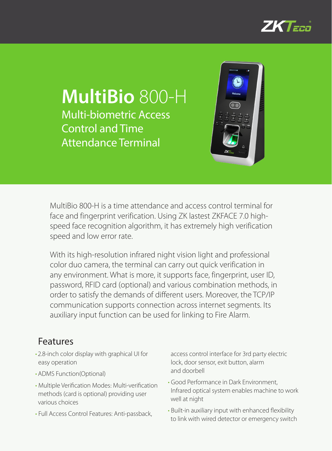

# **MultiBio** 800-H Multi-biometric Access Control and Time Attendance Terminal



MultiBio 800-H is a time attendance and access control terminal for face and fingerprint verification. Using ZK lastest ZKFACE 7.0 highspeed face recognition algorithm, it has extremely high verification speed and low error rate.

With its high-resolution infrared night vision light and professional color duo camera, the terminal can carry out quick verification in any environment. What is more, it supports face, fingerprint, user ID, password, RFID card (optional) and various combination methods, in order to satisfy the demands of different users. Moreover, the TCP/IP communication supports connection across internet segments. Its auxiliary input function can be used for linking to Fire Alarm.

### Features

- • 2.8-inch color display with graphical UI for easy operation
- ADMS Function(Optional)
- • Multiple Verification Modes: Multi-verification methods (card is optional) providing user various choices
- Full Access Control Features: Anti-passback,

access control interface for 3rd party electric lock, door sensor, exit button, alarm and doorbell

- Good Performance in Dark Environment, Infrared optical system enables machine to work well at night
- • Built-in auxiliary input with enhanced flexibility to link with wired detector or emergency switch